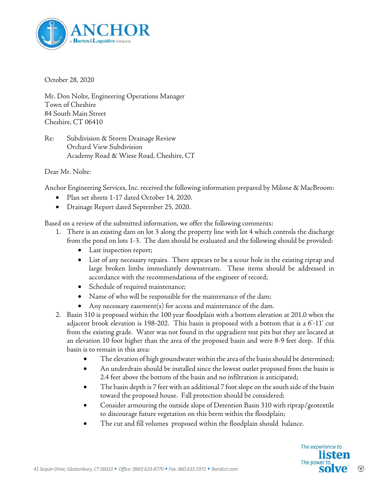

October 28, 2020

Mr. Don Nolte, Engineering Operations Manager Town of Cheshire 84 South Main Street Cheshire, CT 06410

Re: Subdivision & Storm Drainage Review Orchard View Subdivision Academy Road & Wiese Road, Cheshire, CT

Dear Mr. Nolte:

Anchor Engineering Services, Inc. received the following information prepared by Milone & MacBroom:

- Plan set sheets 1-17 dated October 14, 2020.
- Drainage Report dated September 25, 2020.

Based on a review of the submitted information, we offer the following comments:

- 1. There is an existing dam on lot 3 along the property line with lot 4 which controls the discharge from the pond on lots 1-3. The dam should be evaluated and the following should be provided:
	- Last inspection report;
	- List of any necessary repairs. There appears to be a scour hole in the existing riprap and large broken limbs immediately downstream. These items should be addressed in accordance with the recommendations of the engineer of record;
	- Schedule of required maintenance;
	- Name of who will be responsible for the maintenance of the dam;
	- Any necessary easement(s) for access and maintenance of the dam.
- 2. Basin 310 is proposed within the 100 year floodplain with a bottom elevation at 201.0 when the adjacent brook elevation is 198-202. This basin is proposed with a bottom that is a 6'-11' cut from the existing grade. Water was not found in the upgradient test pits but they are located at an elevation 10 foot higher than the area of the proposed basin and were 8-9 feet deep. If this basin is to remain in this area:
	- The elevation of high groundwater within the area of the basin should be determined;
	- An underdrain should be installed since the lowest outlet proposed from the basin is 2.4 feet above the bottom of the basin and no infiltration is anticipated;
	- The basin depth is 7 feet with an additional 7 foot slope on the south side of the basin toward the proposed house. Fall protection should be considered;
	- Consider armouring the outside slope of Detention Basin 310 with riprap/geotextile to discourage future vegetation on this berm within the floodplain;
	- The cut and fill volumes proposed within the floodplain should balance.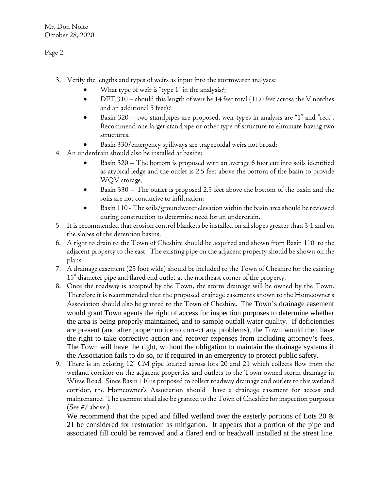Page 2

- 3. Verify the lengths and types of weirs as input into the stormwater analyses:
	- What type of weir is "type 1" in the analysis?;
	- DET 310 should this length of weir be 14 feet total (11.0 feet across the V notches and an additional 3 feet)?
	- Basin 320 two standpipes are proposed, weir types in analysis are "1" and "rect". Recommend one larger standpipe or other type of structure to eliminate having two structures.
	- Basin 330/emergency spillways are trapezoidal weirs not broad;
- 4. An underdrain should also be installed at basins:
	- Basin 320 The bottom is proposed with an average 6 foot cut into soils identified as atypical ledge and the outlet is 2.5 feet above the bottom of the basin to provide WQV storage;
	- Basin 330 The outlet is proposed 2.5 feet above the bottom of the basin and the soils are not conducive to infiltration;
	- Basin 110 The soils/groundwater elevation within the basin area should be reviewed during construction to determine need for an underdrain.
- 5. It is recommended that erosion control blankets be installed on all slopes greater than 3:1 and on the slopes of the detention basins.
- 6. A right to drain to the Town of Cheshire should be acquired and shown from Basin 110 to the adjacent property to the east. The existing pipe on the adjacent property should be shown on the plans.
- 7. A drainage easement (25 foot wide) should be included to the Town of Cheshire for the existing 15" diameter pipe and flared end outlet at the northeast corner of the property.
- 8. Once the roadway is accepted by the Town, the storm drainage will be owned by the Town. Therefore it is recommended that the proposed drainage easements shown to the Homeowner's Association should also be granted to the Town of Cheshire. The Town's drainage easement would grant Town agents the right of access for inspection purposes to determine whether the area is being properly maintained, and to sample outfall water quality. If deficiencies are present (and after proper notice to correct any problems), the Town would then have the right to take corrective action and recover expenses from including attorney's fees. The Town will have the right, without the obligation to maintain the drainage systems if the Association fails to do so, or if required in an emergency to protect public safety.
- 9. There is an existing 12" CM pipe located across lots 20 and 21 which collects flow from the wetland corridor on the adjacent properties and outlets to the Town owned storm drainage in Wiese Road. Since Basin 110 is proposed to collect roadway drainage and outlets to this wetland corridor, the Homeowner's Association should have a drainage easement for access and maintenance. The esement shall also be granted to the Town of Cheshire for inspection purposes (See #7 above.).

We recommend that the piped and filled wetland over the easterly portions of Lots 20  $\&$ 21 be considered for restoration as mitigation. It appears that a portion of the pipe and associated fill could be removed and a flared end or headwall installed at the street line.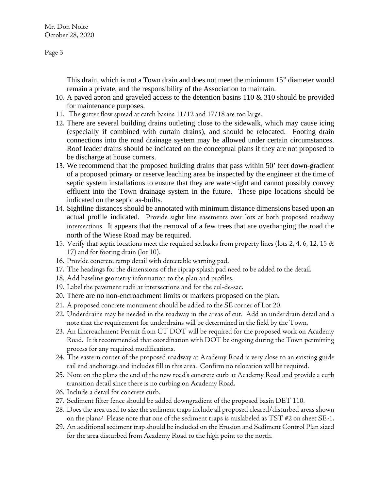Mr. Don Nolte October 28, 2020

Page 3

This drain, which is not a Town drain and does not meet the minimum 15" diameter would remain a private, and the responsibility of the Association to maintain.

- 10. A paved apron and graveled access to the detention basins 110 & 310 should be provided for maintenance purposes.
- 11. The gutter flow spread at catch basins 11/12 and 17/18 are too large.
- 12. There are several building drains outleting close to the sidewalk, which may cause icing (especially if combined with curtain drains), and should be relocated. Footing drain connections into the road drainage system may be allowed under certain circumstances. Roof leader drains should be indicated on the conceptual plans if they are not proposed to be discharge at house corners.
- 13. We recommend that the proposed building drains that pass within 50' feet down-gradient of a proposed primary or reserve leaching area be inspected by the engineer at the time of septic system installations to ensure that they are water-tight and cannot possibly convey effluent into the Town drainage system in the future. These pipe locations should be indicated on the septic as-builts.
- 14. Sightline distances should be annotated with minimum distance dimensions based upon an actual profile indicated. Provide sight line easements over lots at both proposed roadway intersections. It appears that the removal of a few trees that are overhanging the road the north of the Wiese Road may be required.
- 15. Verify that septic locations meet the required setbacks from property lines (lots 2, 4, 6, 12, 15 & 17) and for footing drain (lot 10).
- 16. Provide concrete ramp detail with detectable warning pad.
- 17. The headings for the dimensions of the riprap splash pad need to be added to the detail.
- 18. Add baseline geometry information to the plan and profiles.
- 19. Label the pavement radii at intersections and for the cul-de-sac.
- 20. There are no non-encroachment limits or markers proposed on the plan.
- 21. A proposed concrete monument should be added to the SE corner of Lot 20.
- 22. Underdrains may be needed in the roadway in the areas of cut. Add an underdrain detail and a note that the requirement for underdrains will be determined in the field by the Town.
- 23. An Encroachment Permit from CT DOT will be required for the proposed work on Academy Road. It is recommended that coordination with DOT be ongoing during the Town permitting process for any required modifications.
- 24. The eastern corner of the proposed roadway at Academy Road is very close to an existing guide rail end anchorage and includes fill in this area. Confirm no relocation will be required.
- 25. Note on the plans the end of the new road's concrete curb at Academy Road and provide a curb transition detail since there is no curbing on Academy Road.
- 26. Include a detail for concrete curb.
- 27. Sediment filter fence should be added downgradient of the proposed basin DET 110.
- 28. Does the area used to size the sediment traps include all proposed cleared/disturbed areas shown on the plans? Please note that one of the sediment traps is mislabeled as TST #2 on sheet SE-1.
- 29. An additional sediment trap should be included on the Erosion and Sediment Control Plan sized for the area disturbed from Academy Road to the high point to the north.